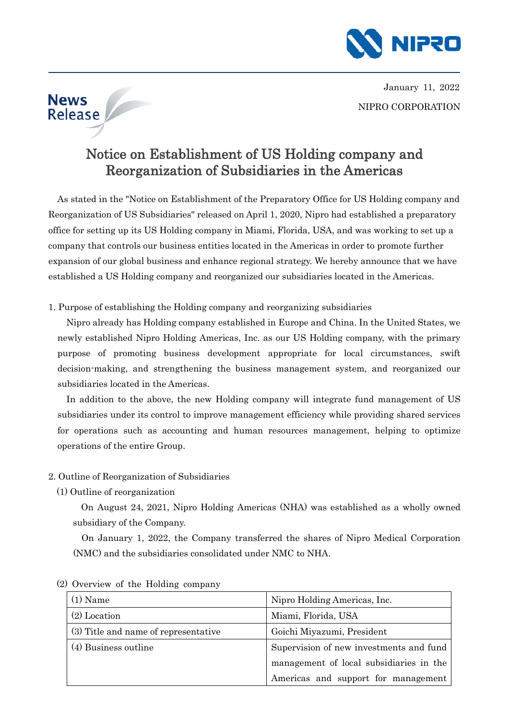

NIPRO CORPORATION January 11, 2022

# Notice on Establishment of US Holding company and Reorganization of Subsidiaries in the Americas

As stated in the "Notice on Establishment of the Preparatory Office for US Holding company and Reorganization of US Subsidiaries" released on April 1, 2020, Nipro had established a preparatory office for setting up its US Holding company in Miami, Florida, USA, and was working to set up a company that controls our business entities located in the Americas in order to promote further expansion of our global business and enhance regional strategy. We hereby announce that we have established a US Holding company and reorganized our subsidiaries located in the Americas.

1. Purpose of establishing the Holding company and reorganizing subsidiaries

Nipro already has Holding company established in Europe and China. In the United States, we newly established Nipro Holding Americas, Inc. as our US Holding company, with the primary purpose of promoting business development appropriate for local circumstances, swift decision-making, and strengthening the business management system, and reorganized our subsidiaries located in the Americas.

In addition to the above, the new Holding company will integrate fund management of US subsidiaries under its control to improve management efficiency while providing shared services for operations such as accounting and human resources management, helping to optimize operations of the entire Group.

- 2. Outline of Reorganization of Subsidiaries
	- (1) Outline of reorganization

**News** Release

> On August 24, 2021, Nipro Holding Americas (NHA) was established as a wholly owned subsidiary of the Company.

> On January 1, 2022, the Company transferred the shares of Nipro Medical Corporation (NMC) and the subsidiaries consolidated under NMC to NHA.

| $(1)$ Name                           | Nipro Holding Americas, Inc.            |
|--------------------------------------|-----------------------------------------|
| $(2)$ Location                       | Miami, Florida, USA                     |
| (3) Title and name of representative | Goichi Miyazumi, President              |
| (4) Business outline                 | Supervision of new investments and fund |
|                                      | management of local subsidiaries in the |
|                                      | Americas and support for management     |

(2) Overview of the Holding company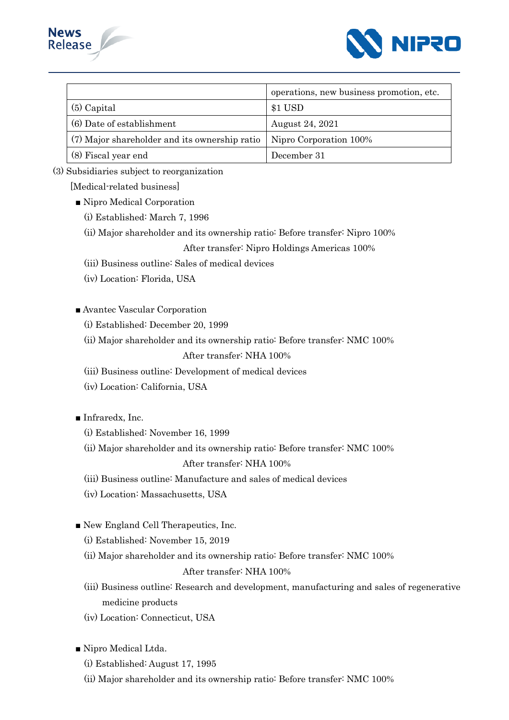



|                                               | operations, new business promotion, etc. |
|-----------------------------------------------|------------------------------------------|
| $(5)$ Capital                                 | \$1 USD                                  |
| (6) Date of establishment                     | August 24, 2021                          |
| (7) Major shareholder and its ownership ratio | Nipro Corporation 100%                   |
| (8) Fiscal year end                           | December 31                              |

(3) Subsidiaries subject to reorganization

[Medical-related business]

- Nipro Medical Corporation
	- (i) Established: March 7, 1996
	- (ii) Major shareholder and its ownership ratio: Before transfer: Nipro 100%

# After transfer: Nipro Holdings Americas 100%

- (iii) Business outline: Sales of medical devices
- (iv) Location: Florida, USA
- Avantec Vascular Corporation
	- (i) Established: December 20, 1999
	- (ii) Major shareholder and its ownership ratio: Before transfer: NMC 100%

## After transfer: NHA 100%

- (iii) Business outline: Development of medical devices
- (iv) Location: California, USA
- Infraredx, Inc.
	- (i) Established: November 16, 1999
	- (ii) Major shareholder and its ownership ratio: Before transfer: NMC 100%

#### After transfer: NHA 100%

- (iii) Business outline: Manufacture and sales of medical devices
- (iv) Location: Massachusetts, USA
- New England Cell Therapeutics, Inc.
	- (i) Established: November 15, 2019
	- (ii) Major shareholder and its ownership ratio: Before transfer: NMC 100%

#### After transfer: NHA 100%

- (iii) Business outline: Research and development, manufacturing and sales of regenerative medicine products
- (iv) Location: Connecticut, USA

■ Nipro Medical Ltda.

- (i) Established: August 17, 1995
- (ii) Major shareholder and its ownership ratio: Before transfer: NMC 100%